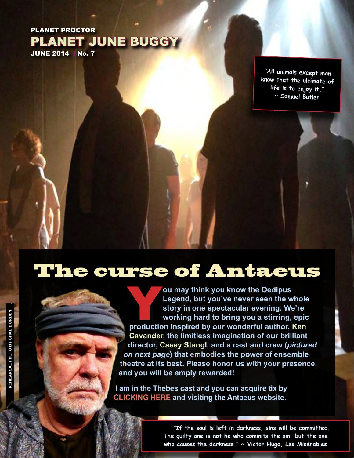### PLANET PROCTOR PLANET JUNE BUGGY JUNE 2014 | No. 7

**"All animals except man know that the ultimate of life is to enjoy it." ~ Samuel Butler**

## The curse of Antaeus

**Production may think you know the Oedipus Legend, but you've never seen the whole story in one spectacular evening. We're working hard to bring you a stirring, epic production inspired by our wonderful author, Ken Legend, but you've never seen the whole story in one spectacular evening. We're working hard to bring you a stirring, epic Cavander, the limitless imagination of our brilliant director, Casey Stangl, and a cast and crew (***pictured on next page***) that embodies the power of ensemble theatre at its best. Please honor us with your presence, and you will be amply rewarded!**

**I am in the Thebes cast and you can acquire tix by [CLICKING HERE](http://www.antaeus.org) and visiting the Antaeus website.** 

> **"If the soul is left in darkness, sins will be committed. The guilty one is not he who commits the sin, but the one who causes the darkness." ~ Victor Hugo, Les Misérables**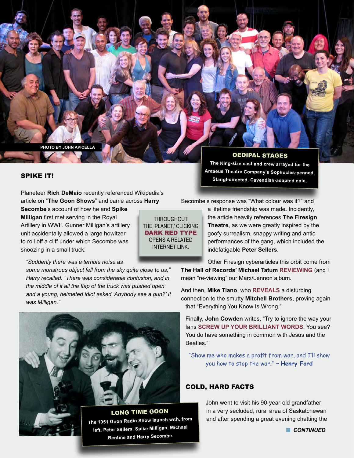**PHOTO BY JOHN APICELLA .**

#### SPIKE IT!

Planeteer **Rich DeMaio** recently referenced Wikipedia's article on "**The Goon Shows**" and came across **Harry** 

**Secombe**'s account of how he and **Spike Milligan** first met serving in the Royal Artillery in WWII. Gunner Milligan's artillery unit accidentally allowed a large howitzer to roll off a cliff under which Secombe was snoozing in a small truck:

*"Suddenly there was a terrible noise as* 

*some monstrous object fell from the sky quite close to us," Harry recalled. "There was considerable confusion, and in the middle of it all the flap of the truck was pushed open and a young, helmeted idiot asked 'Anybody see a gun?' It was Milligan."*



**The 1951 Goon Radio Show launch with, from left, Peter Sellers, Spike Milligan, Michael Bentine and Harry Secombe.**

OEDIPAL STAGES

**The King-size cast and crew arrayed for the Antaeus Theatre Company's Sophocles-penned, Stangl-directed, Cavendish-adapted epic.**

Secombe's response was "What colour was it?" and

a lifetime friendship was made. Incidently, the article heavily references **The Firesign Theatre**, as we were greatly inspired by the goofy surrealism, snappy writing and antic performances of the gang, which included the indefatigable **Peter Sellers**.

Other Firesign cyberarticles this orbit come from **The Hall of Records' Michael Tatum [REVIEWING](http://www.odyshape.com/blog/2014/5/27/hall-of-records-how-can-you-be-in-two-places-at-once-when-youre-not-anywhere-at-all)** (and I mean "re-viewing" our Marx/Lennon album.

And then, **Mike Tiano**, who **[REVEALS](http://somethingelsereviews.com/2014/06/01/everything-they-knew-was-wrong-firesign-theatre-and-the-mitchell-brothers/)** a disturbing connection to the smutty **Mitchell Brothers**, proving again that "Everything You Know Is Wrong."

Finally, **John Cowden** writes, "Try to ignore the way your fans **[SCREW UP YOUR BRILLIANT WORDS](http://en.wikiquote.org/wiki/Firesign_Theatre)**. You see? You do have something in common with Jesus and the Beatles."

"Show me who makes a profit from war, and I'll show you how to stop the war." ~ **Henry Ford**

#### COLD, HARD FACTS

John went to visit his 90-year-old grandfather in a very secluded, rural area of Saskatchewan and after spending a great evening chatting the

**n** CONTINUED

**THROUGHOUT** THE 'PLANET,' CLICKING DARK RED TYPE OPENS A RELATED INTERNET LINK.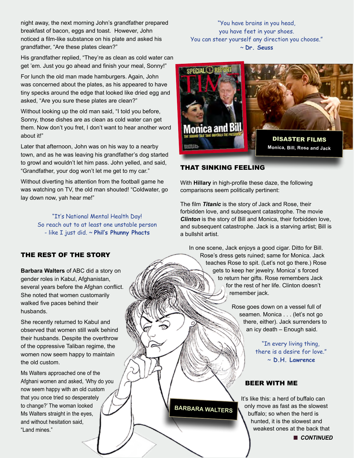night away, the next morning John's grandfather prepared breakfast of bacon, eggs and toast. However, John noticed a film-like substance on his plate and asked his grandfather, "Are these plates clean?"

His grandfather replied, "They're as clean as cold water can get 'em. Just you go ahead and finish your meal, Sonny!"

For lunch the old man made hamburgers. Again, John was concerned about the plates, as his appeared to have tiny specks around the edge that looked like dried egg and asked, "Are you sure these plates are clean?"

Without looking up the old man said, "I told you before, Sonny, those dishes are as clean as cold water can get them. Now don't you fret, I don't want to hear another word about it!"

Later that afternoon, John was on his way to a nearby town, and as he was leaving his grandfather's dog started to growl and wouldn't let him pass. John yelled, and said, "Grandfather, your dog won't let me get to my car."

Without diverting his attention from the football game he was watching on TV, the old man shouted! "Coldwater, go lay down now, yah hear me!"

> "It's National Mental Health Day! So reach out to at least one unstable person - like I just did. ~ **Phil's Phunny Phacts**

### you have feet in your shoes. You can steer yourself any direction you choose." ~ **Dr. Seuss**

"You have brains in you head,



#### THAT SINKING FEELING

With **Hillary** in high-profile these daze, the following comparisons seem politically pertinent:

The film *Titanic* is the story of Jack and Rose, their forbidden love, and subsequent catastrophe. The movie *Clinton* is the story of Bill and Monica, their forbidden love, and subsequent catastrophe. Jack is a starving artist; Bill is a bullshit artist.

In one scene, Jack enjoys a good cigar. Ditto for Bill. Rose's dress gets ruined; same for Monica. Jack teaches Rose to spit. (Let's not go there.) Rose gets to keep her jewelry. Monica' s forced to return her gifts. Rose remembers Jack for the rest of her life. Clinton doesn't remember jack.

> Rose goes down on a vessel full of seamen. Monica . . . (let's not go there, either). Jack surrenders to an icy death – Enough said.

> > "In every living thing, there is a desire for love." ~ **D.H. Lawrence**

#### BEER WITH ME

It's like this: a herd of buffalo can only move as fast as the slowest buffalo; so when the herd is hunted, it is the slowest and weakest ones at the back that

#### THE REST OF THE STORY

**Barbara Walters** of ABC did a story on gender roles in Kabul, Afghanistan, several years before the Afghan conflict. She noted that women customarily walked five paces behind their husbands.

She recently returned to Kabul and observed that women still walk behind their husbands. Despite the overthrow of the oppressive Taliban regime, the women now seem happy to maintain the old custom.

Ms Walters approached one of the Afghani women and asked, 'Why do you now seem happy with an old custom that you once tried so desperately to change?' The woman looked Ms Walters straight in the eyes, and without hesitation said, "Land mines."

**BARBARA WALTERS**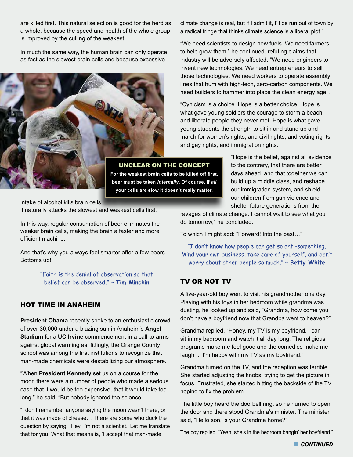are killed first. This natural selection is good for the herd as a whole, because the speed and health of the whole group is improved by the culling of the weakest.

In much the same way, the human brain can only operate as fast as the slowest brain cells and because excessive



UNCLEAR ON THE CONCEPT **For the weakest brain cells to be killed off first, beer must be taken** *internally***. Of course, if** *all*  **your cells are slow it doesn't really matter.**

intake of alcohol kills brain cells, it naturally attacks the slowest and weakest cells first.

In this way, regular consumption of beer eliminates the weaker brain cells, making the brain a faster and more efficient machine.

And that's why you always feel smarter after a few beers. Bottoms up!

> "Faith is the denial of observation so that belief can be observed." ~ **Tim Minchin**

#### HOT TIME IN ANAHEIM

**President Obama** recently spoke to an enthusiastic crowd of over 30,000 under a blazing sun in Anaheim's **Angel Stadium** for a **UC Irvine** commencement in a call-to-arms against global warming as, fittingly, the Orange County school was among the first institutions to recognize that man-made chemicals were destabilizing our atmosphere.

"When **President Kennedy** set us on a course for the moon there were a number of people who made a serious case that it would be too expensive, that it would take too long," he said. "But nobody ignored the science.

"I don't remember anyone saying the moon wasn't there, or that it was made of cheese… There are some who duck the question by saying, 'Hey, I'm not a scientist.' Let me translate that for you: What that means is, 'I accept that man-made

climate change is real, but if I admit it, I'll be run out of town by a radical fringe that thinks climate science is a liberal plot.'

"We need scientists to design new fuels. We need farmers to help grow them," he continued, refuting claims that industry will be adversely affected. "We need engineers to invent new technologies. We need entrepreneurs to sell those technologies. We need workers to operate assembly lines that hum with high-tech, zero-carbon components. We need builders to hammer into place the clean energy age…

"Cynicism is a choice. Hope is a better choice. Hope is what gave young soldiers the courage to storm a beach and liberate people they never met. Hope is what gave young students the strength to sit in and stand up and march for women's rights, and civil rights, and voting rights, and gay rights, and immigration rights.

> "Hope is the belief, against all evidence to the contrary, that there are better days ahead, and that together we can build up a middle class, and reshape our immigration system, and shield our children from gun violence and shelter future generations from the

ravages of climate change. I cannot wait to see what you do tomorrow," he concluded.

To which I might add: "Forward! Into the past…"

"I don't know how people can get so anti-something. Mind your own business, take care of yourself, and don't worry about other people so much." ~ **Betty White**

#### TV OR NOT TV

A five-year-old boy went to visit his grandmother one day. Playing with his toys in her bedroom while grandma was dusting, he looked up and said, "Grandma, how come you don't have a boyfriend now that Grandpa went to heaven?"

Grandma replied, "Honey, my TV is my boyfriend. I can sit in my bedroom and watch it all day long. The religious programs make me feel good and the comedies make me laugh ... I'm happy with my TV as my boyfriend."

Grandma turned on the TV, and the reception was terrible. She started adjusting the knobs, trying to get the picture in focus. Frustrated, she started hitting the backside of the TV hoping to fix the problem.

The little boy heard the doorbell ring, so he hurried to open the door and there stood Grandma's minister. The minister said, "Hello son, is your Grandma home?"

The boy replied, "Yeah, she's in the bedroom bangin' her boyfriend."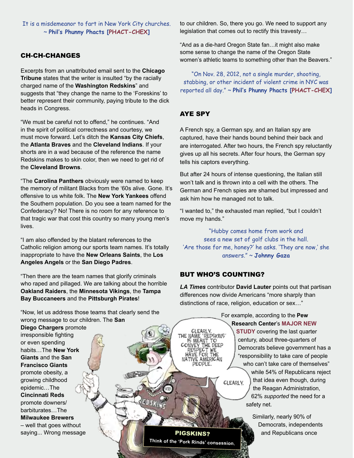It is a misdemeanor to fart in New York City churches. ~ **Phil's Phunny Phacts [[PHACT-CHEX](http://blogs.villagevoice.com/runninscared/2012/05/six_things_more.php)]**

#### CH-CH-CHANGES

Excerpts from an unattributed email sent to the **Chicago Tribune** states that the writer is insulted "by the racially" charged name of the **Washington Redskins**" and suggests that "they change the name to the 'Foreskins' to better represent their community, paying tribute to the dick heads in Congress.

"We must be careful not to offend," he continues. "And in the spirit of political correctness and courtesy, we must move forward. Let's ditch the **Kansas City Chiefs**, the **Atlanta Braves** and the **Cleveland Indians**. If your shorts are in a wad because of the reference the name Redskins makes to skin color, then we need to get rid of the **Cleveland Browns**.

"The **Carolina Panthers** obviously were named to keep the memory of militant Blacks from the '60s alive. Gone. It's offensive to us white folk. The **New York Yankees** offend the Southern population. Do you see a team named for the Confederacy? No! There is no room for any reference to that tragic war that cost this country so many young men's lives.

"I am also offended by the blatant references to the Catholic religion among our sports team names. It's totally inappropriate to have the **New Orleans Saints**, the **Los Angeles Angels** or the **San Diego Padres**.

"Then there are the team names that glorify criminals who raped and pillaged. We are talking about the horrible **Oakland Raiders**, the **Minnesota Vikings**, the **Tampa Bay Buccaneers** and the **Pittsburgh Pirates**!

"Now, let us address those teams that clearly send the wrong message to our children. The **San** 

**Diego Chargers** promote irresponsible fighting or even spending habits…The **New York Giants** and the **San Francisco Giants** promote obesity, a growing childhood epidemic…The **Cincinnati Reds** promote downers/ barbiturates…The **Milwaukee Brewers** – well that goes without saying... Wrong message to our children. So, there you go. We need to support any legislation that comes out to rectify this travesty…

"And as a die-hard Oregon State fan…it might also make some sense to change the name of the Oregon State women's athletic teams to something other than the Beavers."

"On Nov. 28, 2012, not a single murder, shooting, stabbing, or other incident of violent crime in NYC was reported all day." ~ **Phil's Phunny Phacts [[PHACT-CHEX\]](http://www.bbc.com/news/world-us-canada-20536201?p=1)**

#### AYE SPY

A French spy, a German spy, and an Italian spy are captured, have their hands bound behind their back and are interrogated. After two hours, the French spy reluctantly gives up all his secrets. After four hours, the German spy tells his captors everything.

But after 24 hours of intense questioning, the Italian still won't talk and is thrown into a cell with the others. The German and French spies are shamed but impressed and ask him how he managed not to talk.

"I wanted to," the exhausted man replied, "but I couldn't move my hands."

"Hubby comes home from work and sees a new set of golf clubs in the hall. 'Are those for me, honey?' he asks. 'They are now,' she answers." ~ **Johnny Gaza**

#### BUT WHO'S COUNTING?

**IE DEEP** WE

THE

**JE FOR** 

*LA Times* contributor **David Lauter** points out that partisan differences now divide Americans "more sharply than distinctions of race, religion, education or sex…"

> For example, according to the **Pew Research Center**'s **[MAJOR NEW](http://www.people-press.org/values/)  [STUDY](http://www.people-press.org/values/)** covering the last quarter century, about three-quarters of Democrats believe government has a "responsibility to take care of people who can't take care of themselves" while 54% of Republicans reject that idea even though, during CLEARLY. the Reagan Administration, 62% *supported* the need for a safety net.

Similarly, nearly 90% of Democrats, independents PIGSKINS? **A** and Republicans once

**Think of the 'Pork Rinds' consession.**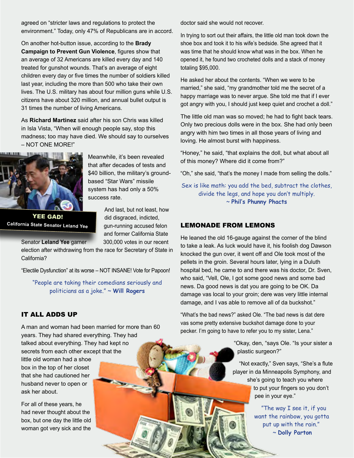agreed on "stricter laws and regulations to protect the environment." Today, only 47% of Republicans are in accord.

On another hot-button issue, according to the **Brady Campaign to Prevent Gun Violence**, figures show that an average of 32 Americans are killed every day and 140 treated for gunshot wounds. That's an average of eight children every day or five times the number of soldiers killed last year, including the more than 500 who take their own lives. The U.S. military has about four million guns while U.S. citizens have about 320 million, and annual bullet output is 31 times the number of living Americans.

As **Richard Martinez** said after his son Chris was killed in Isla Vista, "When will enough people say, stop this madness; too may have died. We should say to ourselves – NOT ONE MORE!"



Meanwhile, it's been revealed that after decades of tests and \$40 billion, the military's groundbased "Star Wars" missile system has had only a 50% success rate.

YEE GAD! **California State Senator Leland Yee**

And last, but not least, how did disgraced, indicted, gun-running accused felon and former California State Senator Leland Yee garner 300,000 votes in our recent

election after withdrawing from the race for Secretary of State in California?

"Electile Dysfunction" at its worse – NOT INSANE! Vote for Papoon!

"People are taking their comedians seriously and politicians as a joke." ~ **Will Rogers** 

#### IT ALL ADDS UP

A man and woman had been married for more than 60 years. They had shared everything. They had talked about everything. They had kept no secrets from each other except that the

little old woman had a shoe box in the top of her closet that she had cautioned her husband never to open or ask her about.

For all of these years, he had never thought about the box, but one day the little old woman got very sick and the

doctor said she would not recover.

In trying to sort out their affairs, the little old man took down the shoe box and took it to his wife's bedside. She agreed that it was time that he should know what was in the box. When he opened it, he found two crocheted dolls and a stack of money totaling \$95,000.

He asked her about the contents. "When we were to be married," she said, "my grandmother told me the secret of a happy marriage was to never argue. She told me that if I ever got angry with you, I should just keep quiet and crochet a doll."

The little old man was so moved; he had to fight back tears. Only two precious dolls were in the box. She had only been angry with him two times in all those years of living and loving. He almost burst with happiness.

"Honey," he said, "that explains the doll, but what about all of this money? Where did it come from?"

"Oh," she said, "that's the money I made from selling the dolls."

Sex is like math: you add the bed, subtract the clothes, divide the legs, and hope you don't multiply. ~ **Phil's Phunny Phacts**

#### LEMONADE FROM LEMONS

He leaned the old 16-gauge against the corner of the blind to take a leak. As luck would have it, his foolish dog Dawson knocked the gun over, it went off and Ole took most of the pellets in the groin. Several hours later, lying in a Duluth hospital bed, he came to and there was his doctor, Dr. Sven, who said, "Vell, Ole, I got some good news and some bad news. Da good news is dat you are going to be OK. Da damage vas local to your groin; dere was very little internal damage, and I vas able to remove all of da buckshot."

"What's the bad news?" asked Ole. "The bad news is dat dere vas some pretty extensive buckshot damage done to your pecker. I'm going to have to refer you to my sister, Lena."

> "Okay, den, "says Ole. "Is your sister a plastic surgeon?"

"Not exactly," Sven says, "She's a flute player in da Minneapolis Symphony, and she's going to teach you where to put your fingers so you don't pee in your eye."

> "The way I see it, if you want the rainbow, you gotta put up with the rain." ~ **Dolly Parton**